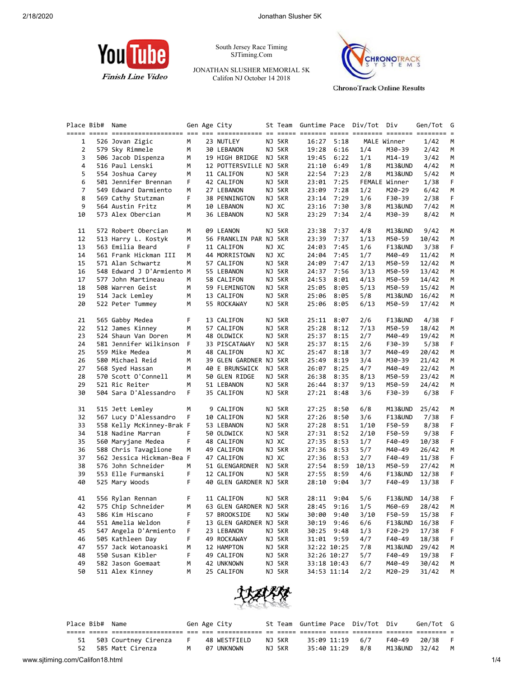

South Jersey Race Timing SJTiming.Com

JONATHAN SLUSHER MEMORIAL 5K Califon NJ October 14 2018



**ChronoTrack Online Results** 

|                | Place Bib# | Name                      |                | Gen Age City           | St Team | Guntime Pace Div/Tot |             |       | Div                | Gen/Tot | G  |
|----------------|------------|---------------------------|----------------|------------------------|---------|----------------------|-------------|-------|--------------------|---------|----|
|                |            |                           |                |                        |         |                      |             |       |                    |         |    |
| 1              |            | 526 Jovan Zigic           | M              | 23 NUTLEY              | NJ 5KR  | 16:27                | 5:18        |       | MALE Winner        | 1/42    | М  |
| $\overline{2}$ |            | 579 Sky Rimmele           | М              | 30 LEBANON             | NJ 5KR  | 19:28                | 6:16        | 1/4   | M30-39             | 2/42    | М  |
| 3              |            | 506 Jacob Dispenza        | M              | 19 HIGH BRIDGE NJ 5KR  |         | 19:45                | 6:22        | 1/1   | M14-19             | 3/42    | M  |
| 4              |            | 516 Paul Lenski           | М              | 12 POTTERSVILLE NJ 5KR |         | 21:10                | 6:49        | 1/8   | M13&UND            | 4/42    | М  |
| 5              |            | 554 Joshua Carey          | М              | 11 CALIFON             | NJ 5KR  | 22:54                | 7:23        | 2/8   | M13&UND            | 5/42    | М  |
| 6              |            | 501 Jennifer Brennan      | F              | 42 CALIFON             | NJ 5KR  | 23:01                | 7:25        |       | FEMALE Winner      | 1/38    | F. |
| $\overline{7}$ |            | 549 Edward Darmiento      | М              | 27 LEBANON             | NJ 5KR  | 23:09                | 7:28        | 1/2   | M20-29             | 6/42    | М  |
| 8              |            | 569 Cathy Stutzman        | F              | 38 PENNINGTON          | NJ 5KR  | 23:14                | 7:29        | 1/6   | F30-39             | 2/38    | F. |
| 9              |            | 564 Austin Fritz          | М              | 10 LEBANON             | NJ XC   | 23:16                | 7:30        | 3/8   | M13&UND            | 7/42    | М  |
| 10             |            | 573 Alex Obercian         | М              | 36 LEBANON             | NJ 5KR  | 23:29                | 7:34        | 2/4   | M30-39             | 8/42    | М  |
| 11             |            | 572 Robert Obercian       | М              | 09 LEANON              | NJ 5KR  | 23:38                | 7:37        | 4/8   | M13&UND            | 9/42    | М  |
| 12             |            | 513 Harry L. Kostyk       | М              | 56 FRANKLIN PAR NJ 5KR |         | 23:39                | 7:37        | 1/13  | M50-59             | 10/42   | М  |
| 13             |            | 563 Emilia Beard          | F              | 11 CALIFON             | NJ XC   | 24:03                | 7:45        | 1/6   | <b>F13&amp;UND</b> | 3/38    | F. |
| 14             |            | 561 Frank Hickman III     | M              | 44 MORRISTOWN          | NJ XC   | 24:04                | 7:45        | 1/7   | M40-49             | 11/42   | М  |
| 15             |            | 571 Alan Schwartz         | М              | 57 CALIFON             | NJ 5KR  | 24:09                | 7:47        | 2/13  | M50-59             | 12/42   | М  |
| 16             |            | 548 Edward J D'Armiento M |                | 55 LEBANON             | NJ 5KR  | 24:37                | 7:56        | 3/13  | M50-59             | 13/42   | М  |
| 17             |            | 577 John Martineau        | М              | 58 CALIFON             | NJ 5KR  | 24:53                | 8:01        | 4/13  | M50-59             | 14/42   | М  |
| 18             |            | 508 Warren Geist          | М              | 59 FLEMINGTON          | NJ 5KR  | 25:05                | 8:05        | 5/13  | M50-59             | 15/42   | М  |
| 19             |            | 514 Jack Lemley           | М              | 13 CALIFON             | NJ 5KR  | 25:06                | 8:05        | 5/8   | M13&UND            | 16/42   | М  |
| 20             |            | 522 Peter Tummey          | М              | 55 ROCKAWAY            | NJ 5KR  |                      | 25:06 8:05  | 6/13  | M50-59             | 17/42   | М  |
| 21             |            | 565 Gabby Medea           | F              | 13 CALIFON             | NJ 5KR  |                      | 25:11 8:07  | 2/6   | F13&UND            | 4/38    | F. |
| 22             |            | 512 James Kinney          | М              | 57 CALIFON             | NJ 5KR  | 25:28                | 8:12        | 7/13  | M50-59             | 18/42   | М  |
| 23             |            | 524 Shaun Van Doren       | М              | 48 OLDWICK             | NJ 5KR  | 25:37                | 8:15        | 2/7   | M40-49             | 19/42   | М  |
| 24             |            | 581 Jennifer Wilkinson    | F              | 33 PISCATAWAY          | NJ 5KR  | 25:37                | 8:15        | 2/6   | F30-39             | 5/38    | F. |
| 25             |            | 559 Mike Medea            | М              | 48 CALIFON             | NJ XC   | 25:47                | 8:18        | 3/7   | M40-49             | 20/42   | М  |
| 26             |            | 580 Michael Reid          | М              | 39 GLEN GARDNER NJ 5KR |         | 25:49                | 8:19        | 3/4   | M30-39             | 21/42   | М  |
| 27             |            | 568 Syed Hassan           | М              | 40 E BRUNSWICK NJ 5KR  |         | 26:07                | 8:25        | 4/7   | M40-49             | 22/42   | М  |
| 28             |            | 570 Scott O'Connell       | М              | 50 GLEN RIDGE          | NJ 5KR  | 26:38                | 8:35        | 8/13  | M50-59             | 23/42   | М  |
| 29             |            | 521 Ric Reiter            | М              | 51 LEBANON             | NJ 5KR  | 26:44                | 8:37        | 9/13  | M50-59             | 24/42   | М  |
| 30             |            | 504 Sara D'Alessandro     | F              | 35 CALIFON             | NJ 5KR  |                      | 27:21 8:48  | 3/6   | F30-39             | 6/38    | F. |
| 31             |            | 515 Jett Lemley           | М              | 9 CALIFON              | NJ 5KR  | 27:25                | 8:50        | 6/8   | M13&UND            | 25/42   | М  |
| 32             |            | 567 Lucy D'Alessandro     | F              | 10 CALIFON             | NJ 5KR  | 27:26                | 8:50        | 3/6   | F13&UND            | 7/38    | F. |
| 33             |            | 558 Kelly McKinney-Brak F |                | 53 LEBANON             | NJ 5KR  | 27:28                | 8:51        | 1/10  | F50-59             | 8/38    | F  |
| 34             |            | 518 Nadine Marran         | F              | 50 OLDWICK             | NJ 5KR  | 27:31                | 8:52        | 2/10  | F50-59             | 9/38    | F  |
| 35             |            | 560 Maryjane Medea        | F              | 48 CALIFON             | NJ XC   | 27:35                | 8:53        | 1/7   | F40-49             | 10/38   | F. |
| 36             |            | 588 Chris Tavaglione      | М              | 49 CALIFON             | NJ 5KR  | 27:36                | 8:53        | 5/7   | M40-49             | 26/42   | M  |
| 37             |            | 562 Jessica Hickman-Bea F |                | 47 CALIFON             | NJ XC   | 27:36                | 8:53        | 2/7   | F40-49             | 11/38   | F  |
| 38             |            | 576 John Schneider        | М              | 51 GLENGARDNER NJ 5KR  |         | 27:54                | 8:59        | 10/13 | M50-59             | 27/42   | М  |
| 39             |            | 553 Elle Furmanski        | F.             | 12 CALIFON             | NJ 5KR  | 27:55                | 8:59        | 4/6   | F13&UND            | 12/38   | F. |
| 40             |            | 525 Mary Woods            | F.             | 40 GLEN GARDNER NJ 5KR |         | 28:10                | 9:04        | 3/7   | F40-49             | 13/38   | F. |
| 41             |            | 556 Rylan Rennan          | F              | 11 CALIFON             | NJ 5KR  |                      | 28:11 9:04  | 5/6   | F13&UND            | 14/38   | F  |
| 42             |            | 575 Chip Schneider        | M <sub>1</sub> | 63 GLEN GARDNER NJ 5KR |         |                      | 28:45 9:16  | 1/5   | M60-69             | 28/42   | M  |
| 43             |            | 586 Kim Hiscano           | F              | 57 BROOKSIDE           | NJ 5KW  |                      | 30:00 9:40  | 3/10  | F50-59             | 15/38   | F  |
| 44             |            | 551 Amelia Weldon         | F              | 13 GLEN GARDNER NJ 5KR |         | 30:19                | 9:46        | 6/6   | <b>F13&amp;UND</b> | 16/38   | F  |
| 45             |            | 547 Angela D'Armiento     | F              | 23 LEBANON             | NJ 5KR  | 30:25                | 9:48        | 1/3   | F20-29             | 17/38   | F  |
| 46             |            | 505 Kathleen Day          | F              | 49 ROCKAWAY            | NJ 5KR  | 31:01                | 9:59        | 4/7   | F40-49             | 18/38   | F  |
| 47             |            | 557 Jack Wotanoaski       | м              | 12 HAMPTON             | NJ 5KR  |                      | 32:22 10:25 | 7/8   | M13&UND            | 29/42   | М  |
| 48             |            | 550 Susan Kibler          | F              | 49 CALIFON             | NJ 5KR  |                      | 32:26 10:27 | 5/7   | F40-49             | 19/38   | F  |
| 49             |            | 582 Jason Goemaat         | M              | 42 UNKNOWN             | NJ 5KR  |                      | 33:18 10:43 | 6/7   | M40-49             | 30/42   | M  |
| 50             |            | 511 Alex Kinney           | М              | 25 CALIFON             | NJ 5KR  |                      | 34:53 11:14 | 2/2   | M20-29             | 31/42   | М  |
|                |            |                           |                |                        |         |                      |             |       |                    |         |    |



| St Team Guntime Pace Div/Tot Div<br>Place Bib# Name<br>Gen Age City | Gen/Tot G                        |  |
|---------------------------------------------------------------------|----------------------------------|--|
|                                                                     |                                  |  |
| NJ 5KR<br>48 WESTFIELD<br>503 Courtney Cirenza                      | F40-49 20/38<br>35:09 11:19 6/7  |  |
| 585 Matt Cirenza<br>NJ 5KR<br>07 UNKNOWN<br>52.                     | 35:40 11:29 8/8<br>M13&UND 32/42 |  |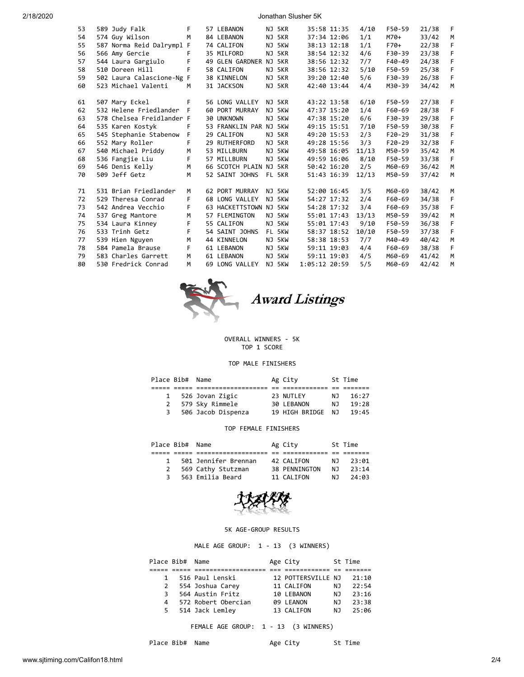2/18/2020 Jonathan Slusher 5K

| 53 | 589 Judy Falk             | F. | 57 LEBANON             |    | NJ 5KR |               | 35:58 11:35 | 4/10  | F50-59   | 21/38 | F. |
|----|---------------------------|----|------------------------|----|--------|---------------|-------------|-------|----------|-------|----|
| 54 | 574 Guy Wilson            | M  | 84 LEBANON             |    | NJ 5KR |               | 37:34 12:06 | 1/1   | M70+     | 33/42 | M  |
| 55 | 587 Norma Reid Dalrympl   | F. | 74 CALIFON             | NJ | 5KW    |               | 38:13 12:18 | 1/1   | $F70+$   | 22/38 | F. |
| 56 | 566 Amy Gercie            | F  | 35 MILFORD             | ΝJ | 5KR    |               | 38:54 12:32 | 4/6   | F30-39   | 23/38 | F  |
| 57 | 544 Laura Gargiulo        | F  | 49 GLEN GARDNER        |    | NJ 5KR |               | 38:56 12:32 | 7/7   | F40-49   | 24/38 | F  |
| 58 | 510 Doreen Hill           | F  | 58 CALIFON             |    | NJ 5KR |               | 38:56 12:32 | 5/10  | F50-59   | 25/38 | F  |
| 59 | 502 Laura Calascione-Ng F |    | 38 KINNELON            |    | NJ 5KR |               | 39:20 12:40 | 5/6   | F30-39   | 26/38 | F  |
| 60 | 523 Michael Valenti       | M  | 31 JACKSON             |    | NJ 5KR | 42:40 13:44   |             | 4/4   | M30-39   | 34/42 | M  |
| 61 | 507 Mary Eckel            | F. | 56 LONG VALLEY         |    | NJ 5KR | 43:22 13:58   |             | 6/10  | F50-59   | 27/38 | F. |
| 62 | 532 Helene Friedlander F  |    | 60 PORT MURRAY         |    | NJ 5KW |               | 47:37 15:20 | 1/4   | F60-69   | 28/38 | F  |
| 63 | 578 Chelsea Freidlander F |    | 30 UNKNOWN             |    | NJ 5KW |               | 47:38 15:20 | 6/6   | F30-39   | 29/38 | F  |
| 64 | 535 Karen Kostyk          | F  | 53 FRANKLIN PAR NJ 5KW |    |        |               | 49:15 15:51 | 7/10  | F50-59   | 30/38 | F  |
| 65 | 545 Stephanie Stabenow    | F. | 29 CALIFON             |    | NJ 5KR |               | 49:20 15:53 | 2/3   | $F20-29$ | 31/38 | F  |
| 66 | 552 Mary Roller           | F. | 29 RUTHERFORD          |    | NJ 5KR | 49:28 15:56   |             | 3/3   | $F20-29$ | 32/38 | F  |
| 67 | 540 Michael Priddy        | M  | 53 MILLBURN            |    | NJ 5KW | 49:58 16:05   |             | 11/13 | M50-59   | 35/42 | M  |
| 68 | 536 Fangiie Liu           | F. | 57 MILLBURN            |    | NJ 5KW |               | 49:59 16:06 | 8/10  | F50-59   | 33/38 | F. |
| 69 | 546 Denis Kelly           | M  | 66 SCOTCH PLAIN NJ 5KR |    |        |               | 50:42 16:20 | 2/5   | M60-69   | 36/42 | M  |
| 70 | 509 Jeff Getz             | M  | 52 SAINT JOHNS         |    | FL 5KR |               | 51:43 16:39 | 12/13 | M50-59   | 37/42 | M  |
| 71 | 531 Brian Friedlander     | M  | 62 PORT MURRAY         |    | NJ 5KW |               | 52:00 16:45 | 3/5   | M60-69   | 38/42 | M  |
| 72 | 529 Theresa Conrad        | F. | 68 LONG VALLEY         |    | NJ 5KW |               | 54:27 17:32 | 2/4   | F60-69   | 34/38 | F. |
| 73 | 542 Andrea Vecchio        | F. | 63 HACKETTSTOWN NJ 5KW |    |        |               | 54:28 17:32 | 3/4   | F60-69   | 35/38 | F. |
| 74 | 537 Greg Mantore          | M  | 57 FLEMINGTON          |    | NJ 5KW |               | 55:01 17:43 | 13/13 | M50-59   | 39/42 | M  |
| 75 | 534 Laura Kinney          | F  | 55 CALIFON             |    | NJ 5KW | 55:01 17:43   |             | 9/10  | F50-59   | 36/38 | F  |
| 76 | 533 Trinh Getz            | F  | 54 SAINT JOHNS         |    | FL 5KW |               | 58:37 18:52 | 10/10 | F50-59   | 37/38 | F  |
| 77 | 539 Hien Nguyen           | M  | 44 KINNELON            |    | NJ 5KW | 58:38 18:53   |             | 7/7   | M40-49   | 40/42 | M  |
| 78 | 584 Pamela Brause         | F. | 61 LEBANON             |    | NJ 5KW |               | 59:11 19:03 | 4/4   | F60-69   | 38/38 | F. |
| 79 | 583 Charles Garrett       | M  | 61 LEBANON             |    | NJ 5KW |               | 59:11 19:03 | 4/5   | M60-69   | 41/42 | M  |
| 80 | 530 Fredrick Conrad       | M  | 69 LONG VALLEY         |    | NJ 5KW | 1:05:12 20:59 |             | 5/5   | M60-69   | 42/42 | M  |
|    |                           |    |                        |    |        |               |             |       |          |       |    |



OVERALL WINNERS - 5K

TOP 1 SCORE

## TOP MALE FINISHERS

|              | Place Bib# Name |                    | Ag City           |     | St Time |
|--------------|-----------------|--------------------|-------------------|-----|---------|
|              |                 |                    |                   |     |         |
| $\mathbf{1}$ |                 | 526 Jovan Zigic    | 23 NUTLEY         | N J | 16:27   |
|              |                 | 579 Sky Rimmele    | 30 LEBANON        | N J | 19:28   |
| 3            |                 | 506 Jacob Dispenza | 19 HIGH BRIDGE NJ |     | 19:45   |

## TOP FEMALE FINISHERS

| Place Bib# Name |                      | Ag City       |     | St Time |
|-----------------|----------------------|---------------|-----|---------|
|                 |                      |               |     |         |
| $\mathbf{1}$    | 501 Jennifer Brennan | 42 CALIFON    | N J | 23:01   |
| 2               | 569 Cathy Stutzman   | 38 PENNINGTON | N J | 23:14   |
| 3               | 563 Emilia Beard     | 11 CALIFON    | N J | 24:03   |



## 5K AGE-GROUP RESULTS

MALE AGE GROUP: 1 - 13 (3 WINNERS)

| Place Bib# Name |  |                     |  | Age City           |     | St Time |
|-----------------|--|---------------------|--|--------------------|-----|---------|
|                 |  |                     |  |                    |     |         |
| 1               |  | 516 Paul Lenski     |  | 12 POTTERSVILLE NJ |     | 21:10   |
| 2               |  | 554 Joshua Carey    |  | 11 CALIFON         | NJ. | 22:54   |
| 3               |  | 564 Austin Fritz    |  | 10 LEBANON         | NJ. | 23:16   |
| 4               |  | 572 Robert Obercian |  | 09 LEANON          | N J | 23:38   |
| 5.              |  | 514 Jack Lemley     |  | 13 CALIFON         | NJ. | 25:96   |

FEMALE AGE GROUP: 1 - 13 (3 WINNERS)

Place Bib# Name Manuel Age City St Time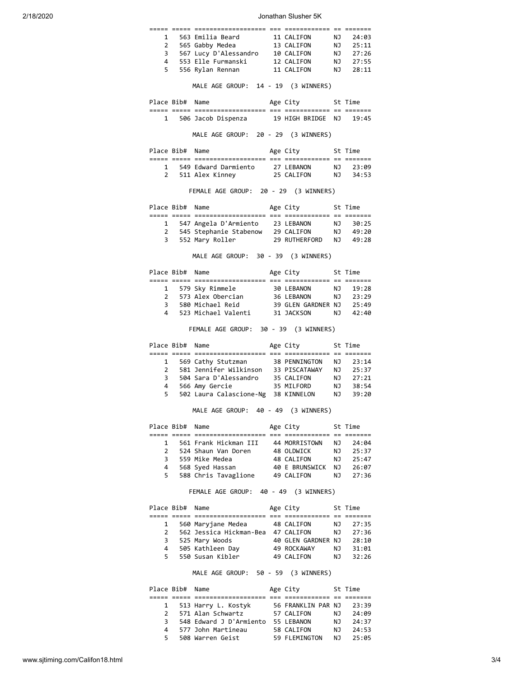2/18/2020 Jonathan Slusher 5K

|                     |                 | 1 563 Emilia Beard 11 CALIFON NJ 24:03<br>2 565 Gabby Medea 13 CALIFON NJ 25:11<br>3 567 Lucy D'Alessandro 10 CALIFON NJ 27:26<br>4 553 Elle Furmanski 12 CALIFON NJ 27:55<br>5 556 Rylan Rennan 11 CALIFON NJ 28:11                    |                                                             |           |                                                                                                              |
|---------------------|-----------------|-----------------------------------------------------------------------------------------------------------------------------------------------------------------------------------------------------------------------------------------|-------------------------------------------------------------|-----------|--------------------------------------------------------------------------------------------------------------|
|                     |                 | MALE AGE GROUP: 14 - 19 (3 WINNERS)                                                                                                                                                                                                     |                                                             |           |                                                                                                              |
|                     |                 | Place Bib# Name                                                                                                                                                                                                                         | Age City 5t Time                                            |           |                                                                                                              |
|                     |                 | 1 506 Jacob Dispenza 19 HIGH BRIDGE NJ 19:45                                                                                                                                                                                            |                                                             |           |                                                                                                              |
|                     |                 |                                                                                                                                                                                                                                         |                                                             |           |                                                                                                              |
|                     |                 | MALE AGE GROUP: 20 - 29 (3 WINNERS)                                                                                                                                                                                                     |                                                             |           |                                                                                                              |
|                     | Place Bib# Name |                                                                                                                                                                                                                                         | Age City 5t Time                                            |           |                                                                                                              |
|                     |                 | 1 549 Edward Darmiento 27 LEBANON NJ 23:09                                                                                                                                                                                              |                                                             |           |                                                                                                              |
|                     |                 | 2 511 Alex Kinney 25 CALIFON NJ 34:53                                                                                                                                                                                                   |                                                             |           |                                                                                                              |
|                     |                 | FEMALE AGE GROUP: 20 - 29 (3 WINNERS)                                                                                                                                                                                                   |                                                             |           |                                                                                                              |
|                     | Place Bib# Name |                                                                                                                                                                                                                                         | Age City 5t Time                                            |           |                                                                                                              |
|                     |                 | 2022 2022 202311111111111111 112 202111111111 12 203111                                                                                                                                                                                 |                                                             |           |                                                                                                              |
|                     |                 | 1 547 Angela D'Armiento 23 LEBANON NJ 30:25                                                                                                                                                                                             |                                                             |           |                                                                                                              |
|                     |                 | 2 545 Stephanie Stabenow 29 CALIFON NJ 49:20<br>3 552 Mary Roller 29 RUTHERFORD NJ 49:28                                                                                                                                                |                                                             |           |                                                                                                              |
|                     |                 |                                                                                                                                                                                                                                         |                                                             |           |                                                                                                              |
|                     |                 | MALE AGE GROUP: 30 - 39 (3 WINNERS)                                                                                                                                                                                                     |                                                             |           |                                                                                                              |
|                     | Place Bib# Name |                                                                                                                                                                                                                                         | Age City 5t Time                                            |           |                                                                                                              |
|                     |                 |                                                                                                                                                                                                                                         |                                                             |           |                                                                                                              |
|                     |                 | 1 579 Sky Rimmele 30 LEBANON NJ 19:28<br>2 573 Alex Obercian 36 LEBANON NJ 23:29                                                                                                                                                        |                                                             |           |                                                                                                              |
|                     |                 | 3 580 Michael Reid                                                                                                                                                                                                                      | 39 GLEN GARDNER NJ 25:49                                    |           |                                                                                                              |
| 4                   |                 | 523 Michael Valenti 31 JACKSON NJ 42:40                                                                                                                                                                                                 |                                                             |           |                                                                                                              |
|                     |                 | FEMALE AGE GROUP: 30 - 39 (3 WINNERS)                                                                                                                                                                                                   |                                                             |           |                                                                                                              |
|                     |                 |                                                                                                                                                                                                                                         |                                                             |           |                                                                                                              |
|                     |                 | Place Bib# Name                                                                                                                                                                                                                         | Age City 5t Time                                            |           |                                                                                                              |
|                     |                 |                                                                                                                                                                                                                                         |                                                             |           |                                                                                                              |
|                     |                 |                                                                                                                                                                                                                                         |                                                             |           |                                                                                                              |
|                     |                 |                                                                                                                                                                                                                                         |                                                             |           |                                                                                                              |
|                     |                 |                                                                                                                                                                                                                                         |                                                             |           |                                                                                                              |
|                     |                 |                                                                                                                                                                                                                                         |                                                             |           |                                                                                                              |
|                     |                 | 1 569 Cathy Stutzman 38 PENNINGTON NJ 23:14<br>2 581 Jennifer Wilkinson 33 PISCATAWAY NJ 25:37<br>3 504 Sara D'Alessandro 35 CALIFON NJ 27:21<br>4 566 Amy Gercie 35 MILFORD NJ 38:54<br>5 502 Laura Calascione-Ng 38 KINNELON NJ 39:20 |                                                             |           |                                                                                                              |
|                     | Place Bib# Name | MALE AGE GROUP: 40 - 49 (3 WINNERS)                                                                                                                                                                                                     |                                                             |           |                                                                                                              |
|                     |                 |                                                                                                                                                                                                                                         | Age City                                                    |           | St Time                                                                                                      |
| 1                   |                 |                                                                                                                                                                                                                                         |                                                             |           |                                                                                                              |
| $\mathbf{2}$        |                 | 561 Frank Hickman III 44 MORRISTOWN NJ 24:04<br>524 Shaun Van Doren                                                                                                                                                                     | 48 OLDWICK                                                  | <b>NJ</b> |                                                                                                              |
|                     |                 | 3 559 Mike Medea                                                                                                                                                                                                                        | 48 CALIFON                                                  |           |                                                                                                              |
| 4                   |                 | 568 Syed Hassan                                                                                                                                                                                                                         | 40 E BRUNSWICK NJ 26:07                                     |           |                                                                                                              |
| 5.                  |                 | 588 Chris Tavaglione 49 CALIFON                                                                                                                                                                                                         |                                                             |           |                                                                                                              |
|                     |                 | FEMALE AGE GROUP: 40 - 49 (3 WINNERS)                                                                                                                                                                                                   |                                                             |           |                                                                                                              |
|                     | Place Bib# Name |                                                                                                                                                                                                                                         | Age City 5t Time                                            |           |                                                                                                              |
|                     |                 |                                                                                                                                                                                                                                         |                                                             |           |                                                                                                              |
| 1                   |                 | 560 Maryjane Medea                                                                                                                                                                                                                      | 48 CALIFON                                                  | NJ 1      |                                                                                                              |
| $\overline{2}$      |                 | 562 Jessica Hickman-Bea 47 CALIFON                                                                                                                                                                                                      |                                                             |           |                                                                                                              |
| 3                   |                 | 525 Mary Woods                                                                                                                                                                                                                          |                                                             |           |                                                                                                              |
| 4<br>5 <sup>7</sup> |                 | 505 Kathleen Day<br>550 Susan Kibler                                                                                                                                                                                                    | 40 GLEN GARDNER NJ    28:10<br>49 ROCKAWAY      NJ    31:01 |           |                                                                                                              |
|                     |                 |                                                                                                                                                                                                                                         | 49 CALIFON NJ                                               |           |                                                                                                              |
|                     |                 | MALE AGE GROUP: 50 - 59 (3 WINNERS)                                                                                                                                                                                                     |                                                             |           |                                                                                                              |
|                     | Place Bib# Name |                                                                                                                                                                                                                                         | St Time<br>Age City                                         |           |                                                                                                              |
| 1                   |                 | 513 Harry L. Kostyk                                                                                                                                                                                                                     | 56 FRANKLIN PAR NJ                                          |           |                                                                                                              |
| 2                   |                 | 571 Alan Schwartz                                                                                                                                                                                                                       | 57 CALIFON                                                  |           |                                                                                                              |
| 3                   |                 | 548 Edward J D'Armiento 55 LEBANON                                                                                                                                                                                                      |                                                             |           |                                                                                                              |
| 4                   |                 | 577 John Martineau                                                                                                                                                                                                                      | 58 CALIFON                                                  |           | 25:37<br>NJ 25:47<br>$NJ = 27:36$<br>27:35<br>NJ 27:36<br>32:26<br>23:39<br>NJ 24:09<br>NJ 24:37<br>NJ 24:53 |
| 5.                  |                 | 508 Warren Geist                                                                                                                                                                                                                        | 59 FLEMINGTON NJ                                            |           | 25:05                                                                                                        |